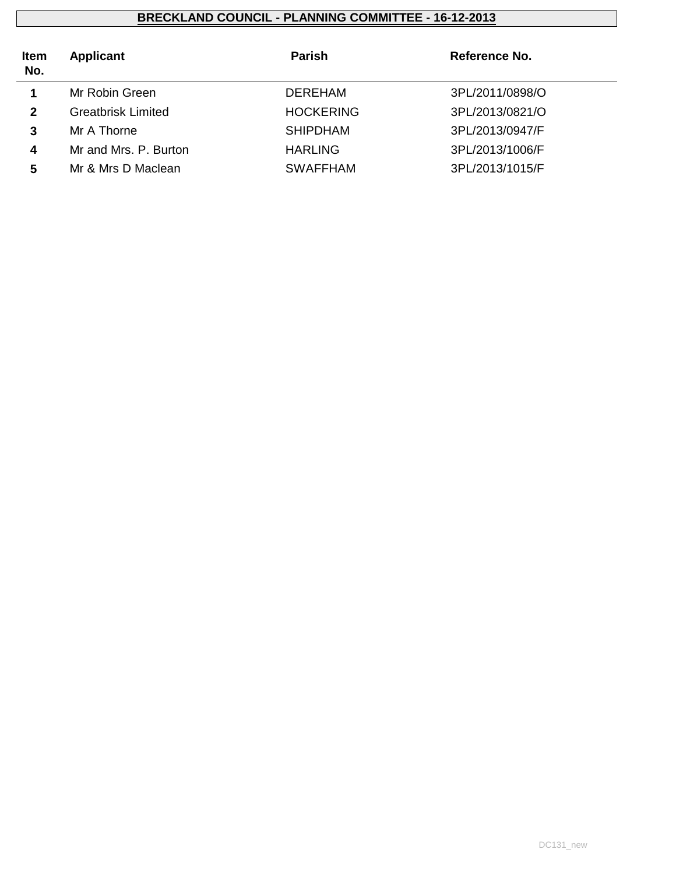| <b>Item</b><br>No. | <b>Applicant</b>          | <b>Parish</b>    | Reference No.   |  |
|--------------------|---------------------------|------------------|-----------------|--|
|                    | Mr Robin Green            | DEREHAM          | 3PL/2011/0898/O |  |
| $\mathbf{2}$       | <b>Greatbrisk Limited</b> | <b>HOCKERING</b> | 3PL/2013/0821/O |  |
| 3                  | Mr A Thorne               | <b>SHIPDHAM</b>  | 3PL/2013/0947/F |  |
| 4                  | Mr and Mrs. P. Burton     | <b>HARLING</b>   | 3PL/2013/1006/F |  |
| 5                  | Mr & Mrs D Maclean        | <b>SWAFFHAM</b>  | 3PL/2013/1015/F |  |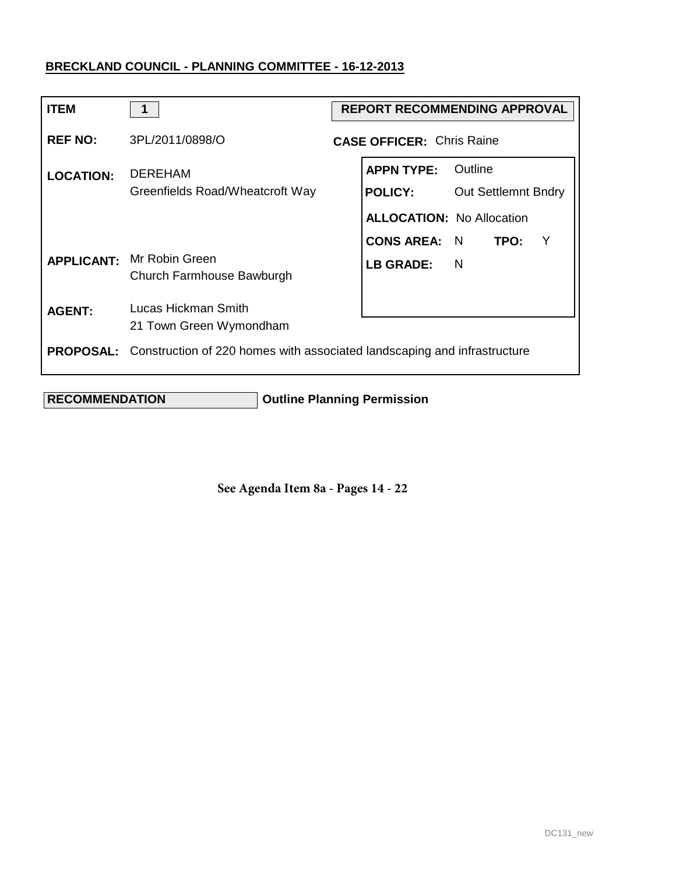| <b>ITEM</b>      | 1                                                                                         | <b>REPORT RECOMMENDING APPROVAL</b> |                                  |                            |  |   |
|------------------|-------------------------------------------------------------------------------------------|-------------------------------------|----------------------------------|----------------------------|--|---|
| <b>REF NO:</b>   | 3PL/2011/0898/O                                                                           |                                     | <b>CASE OFFICER: Chris Raine</b> |                            |  |   |
| <b>LOCATION:</b> | <b>DEREHAM</b>                                                                            |                                     | <b>APPN TYPE:</b>                | Outline                    |  |   |
|                  | Greenfields Road/Wheatcroft Way                                                           |                                     | <b>POLICY:</b>                   | <b>Out Settlemnt Bndry</b> |  |   |
|                  |                                                                                           |                                     | <b>ALLOCATION: No Allocation</b> |                            |  |   |
|                  |                                                                                           |                                     | <b>CONS AREA: N</b>              | TPO:                       |  | Y |
|                  | <b>APPLICANT:</b> Mr Robin Green<br>Church Farmhouse Bawburgh                             |                                     | <b>LB GRADE:</b>                 | - N                        |  |   |
| <b>AGENT:</b>    | Lucas Hickman Smith                                                                       |                                     |                                  |                            |  |   |
|                  | 21 Town Green Wymondham                                                                   |                                     |                                  |                            |  |   |
|                  | <b>PROPOSAL:</b> Construction of 220 homes with associated landscaping and infrastructure |                                     |                                  |                            |  |   |

 **RECOMMENDATION Outline Planning Permission**

**See Agenda Item 8a - Pages 14 - 22**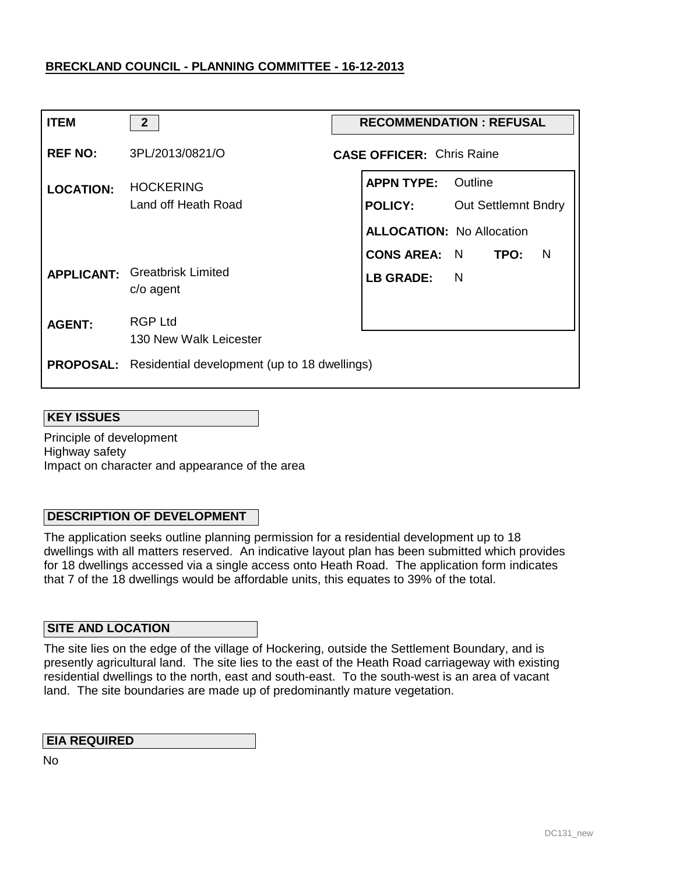| <b>ITEM</b>      | 2 <sup>2</sup>                                                | <b>RECOMMENDATION: REFUSAL</b> |                                             |                            |  |  |
|------------------|---------------------------------------------------------------|--------------------------------|---------------------------------------------|----------------------------|--|--|
| <b>REF NO:</b>   | 3PL/2013/0821/O                                               |                                | <b>CASE OFFICER: Chris Raine</b>            |                            |  |  |
| <b>LOCATION:</b> | <b>HOCKERING</b><br>Land off Heath Road                       |                                | <b>APPN TYPE: Outline</b><br><b>POLICY:</b> | <b>Out Settlemnt Bndry</b> |  |  |
|                  |                                                               |                                | <b>ALLOCATION: No Allocation</b>            |                            |  |  |
|                  | <b>APPLICANT:</b> Greatbrisk Limited<br>$c/o$ agent           |                                | CONS AREA: N TPO:<br><b>LB GRADE:</b>       | $\blacksquare$<br>N        |  |  |
| <b>AGENT:</b>    | <b>RGP Ltd</b><br>130 New Walk Leicester                      |                                |                                             |                            |  |  |
|                  | <b>PROPOSAL:</b> Residential development (up to 18 dwellings) |                                |                                             |                            |  |  |

#### **KEY ISSUES**

Principle of development Highway safety Impact on character and appearance of the area

### **DESCRIPTION OF DEVELOPMENT**

The application seeks outline planning permission for a residential development up to 18 dwellings with all matters reserved. An indicative layout plan has been submitted which provides for 18 dwellings accessed via a single access onto Heath Road. The application form indicates that 7 of the 18 dwellings would be affordable units, this equates to 39% of the total.

### **SITE AND LOCATION**

The site lies on the edge of the village of Hockering, outside the Settlement Boundary, and is presently agricultural land. The site lies to the east of the Heath Road carriageway with existing residential dwellings to the north, east and south-east. To the south-west is an area of vacant land. The site boundaries are made up of predominantly mature vegetation.

### **EIA REQUIRED**

No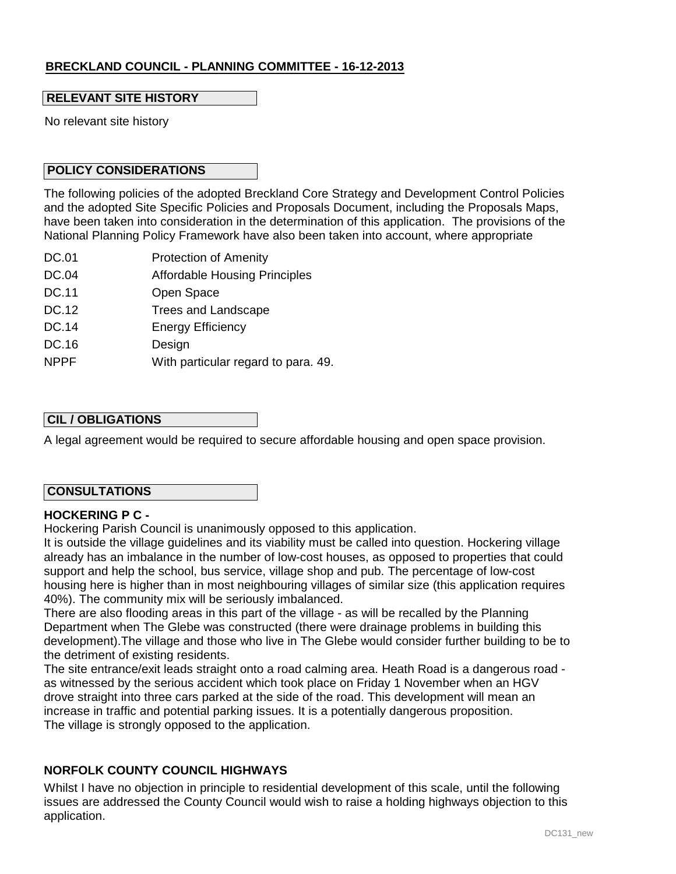### **RELEVANT SITE HISTORY**

No relevant site history

### **POLICY CONSIDERATIONS**

The following policies of the adopted Breckland Core Strategy and Development Control Policies and the adopted Site Specific Policies and Proposals Document, including the Proposals Maps, have been taken into consideration in the determination of this application. The provisions of the National Planning Policy Framework have also been taken into account, where appropriate

- DC.01 Protection of Amenity
- DC.04 Affordable Housing Principles
- DC.11 Open Space
- DC.12 Trees and Landscape
- DC.14 Energy Efficiency
- DC.16 Design
- NPPF With particular regard to para. 49.

### **CIL / OBLIGATIONS**

A legal agreement would be required to secure affordable housing and open space provision.

### **CONSULTATIONS**

### **HOCKERING P C -**

Hockering Parish Council is unanimously opposed to this application.

It is outside the village guidelines and its viability must be called into question. Hockering village already has an imbalance in the number of low-cost houses, as opposed to properties that could support and help the school, bus service, village shop and pub. The percentage of low-cost housing here is higher than in most neighbouring villages of similar size (this application requires 40%). The community mix will be seriously imbalanced.

There are also flooding areas in this part of the village - as will be recalled by the Planning Department when The Glebe was constructed (there were drainage problems in building this development).The village and those who live in The Glebe would consider further building to be to the detriment of existing residents.

The site entrance/exit leads straight onto a road calming area. Heath Road is a dangerous road as witnessed by the serious accident which took place on Friday 1 November when an HGV drove straight into three cars parked at the side of the road. This development will mean an increase in traffic and potential parking issues. It is a potentially dangerous proposition. The village is strongly opposed to the application.

### **NORFOLK COUNTY COUNCIL HIGHWAYS**

Whilst I have no objection in principle to residential development of this scale, until the following issues are addressed the County Council would wish to raise a holding highways objection to this application.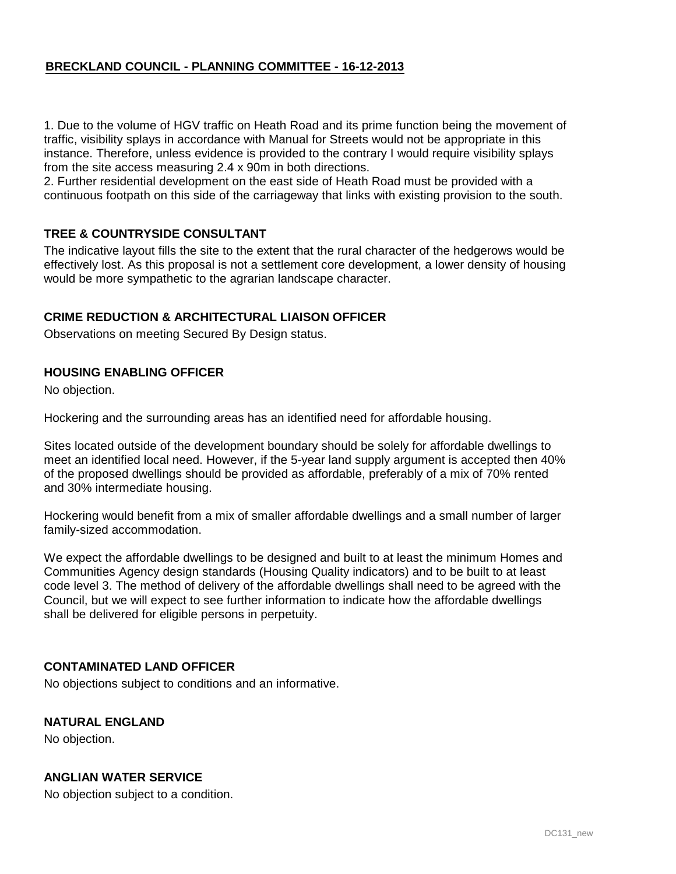1. Due to the volume of HGV traffic on Heath Road and its prime function being the movement of traffic, visibility splays in accordance with Manual for Streets would not be appropriate in this instance. Therefore, unless evidence is provided to the contrary I would require visibility splays from the site access measuring 2.4 x 90m in both directions.

2. Further residential development on the east side of Heath Road must be provided with a continuous footpath on this side of the carriageway that links with existing provision to the south.

### **TREE & COUNTRYSIDE CONSULTANT**

The indicative layout fills the site to the extent that the rural character of the hedgerows would be effectively lost. As this proposal is not a settlement core development, a lower density of housing would be more sympathetic to the agrarian landscape character.

### **CRIME REDUCTION & ARCHITECTURAL LIAISON OFFICER**

Observations on meeting Secured By Design status.

### **HOUSING ENABLING OFFICER**

No objection.

Hockering and the surrounding areas has an identified need for affordable housing.

Sites located outside of the development boundary should be solely for affordable dwellings to meet an identified local need. However, if the 5-year land supply argument is accepted then 40% of the proposed dwellings should be provided as affordable, preferably of a mix of 70% rented and 30% intermediate housing.

Hockering would benefit from a mix of smaller affordable dwellings and a small number of larger family-sized accommodation.

We expect the affordable dwellings to be designed and built to at least the minimum Homes and Communities Agency design standards (Housing Quality indicators) and to be built to at least code level 3. The method of delivery of the affordable dwellings shall need to be agreed with the Council, but we will expect to see further information to indicate how the affordable dwellings shall be delivered for eligible persons in perpetuity.

### **CONTAMINATED LAND OFFICER**

No objections subject to conditions and an informative.

### **NATURAL ENGLAND**

No objection.

# **ANGLIAN WATER SERVICE**

No objection subject to a condition.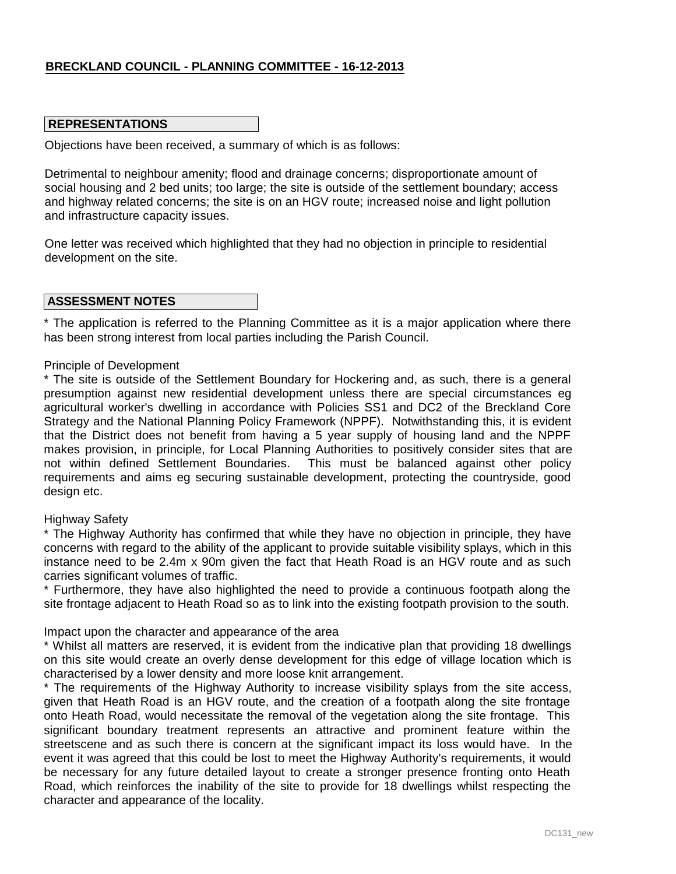### **REPRESENTATIONS**

Objections have been received, a summary of which is as follows:

Detrimental to neighbour amenity; flood and drainage concerns; disproportionate amount of social housing and 2 bed units; too large; the site is outside of the settlement boundary; access and highway related concerns; the site is on an HGV route; increased noise and light pollution and infrastructure capacity issues.

One letter was received which highlighted that they had no objection in principle to residential development on the site.

#### **ASSESSMENT NOTES**

\* The application is referred to the Planning Committee as it is a major application where there has been strong interest from local parties including the Parish Council.

#### Principle of Development

\* The site is outside of the Settlement Boundary for Hockering and, as such, there is a general presumption against new residential development unless there are special circumstances eg agricultural worker's dwelling in accordance with Policies SS1 and DC2 of the Breckland Core Strategy and the National Planning Policy Framework (NPPF). Notwithstanding this, it is evident that the District does not benefit from having a 5 year supply of housing land and the NPPF makes provision, in principle, for Local Planning Authorities to positively consider sites that are not within defined Settlement Boundaries. This must be balanced against other policy requirements and aims eg securing sustainable development, protecting the countryside, good design etc.

#### Highway Safety

\* The Highway Authority has confirmed that while they have no objection in principle, they have concerns with regard to the ability of the applicant to provide suitable visibility splays, which in this instance need to be 2.4m x 90m given the fact that Heath Road is an HGV route and as such carries significant volumes of traffic.

\* Furthermore, they have also highlighted the need to provide a continuous footpath along the site frontage adjacent to Heath Road so as to link into the existing footpath provision to the south.

Impact upon the character and appearance of the area

\* Whilst all matters are reserved, it is evident from the indicative plan that providing 18 dwellings on this site would create an overly dense development for this edge of village location which is characterised by a lower density and more loose knit arrangement.

\* The requirements of the Highway Authority to increase visibility splays from the site access, given that Heath Road is an HGV route, and the creation of a footpath along the site frontage onto Heath Road, would necessitate the removal of the vegetation along the site frontage. This significant boundary treatment represents an attractive and prominent feature within the streetscene and as such there is concern at the significant impact its loss would have. In the event it was agreed that this could be lost to meet the Highway Authority's requirements, it would be necessary for any future detailed layout to create a stronger presence fronting onto Heath Road, which reinforces the inability of the site to provide for 18 dwellings whilst respecting the character and appearance of the locality.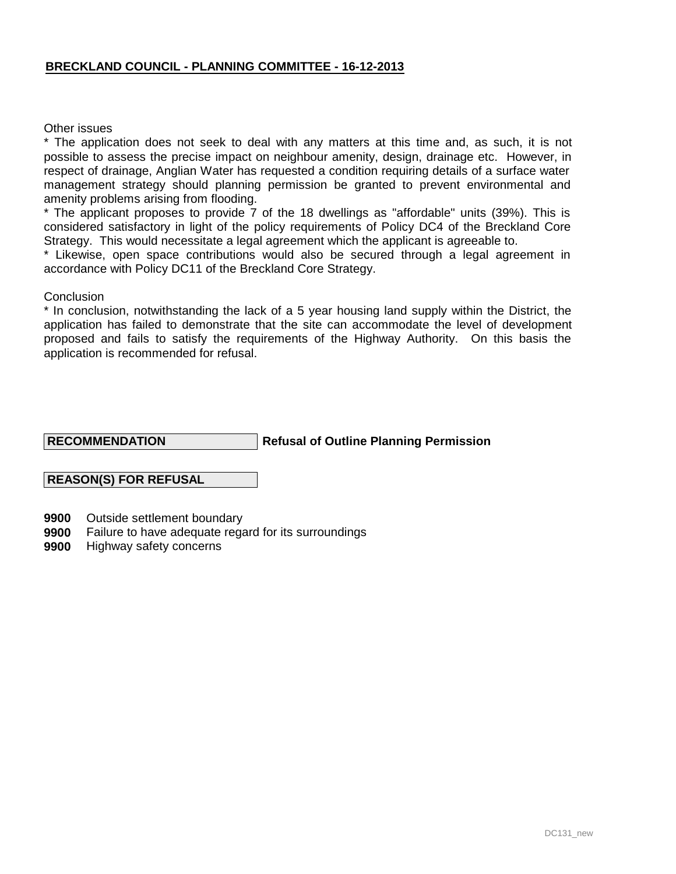Other issues

\* The application does not seek to deal with any matters at this time and, as such, it is not possible to assess the precise impact on neighbour amenity, design, drainage etc. However, in respect of drainage, Anglian Water has requested a condition requiring details of a surface water management strategy should planning permission be granted to prevent environmental and amenity problems arising from flooding.

\* The applicant proposes to provide 7 of the 18 dwellings as "affordable" units (39%). This is considered satisfactory in light of the policy requirements of Policy DC4 of the Breckland Core Strategy. This would necessitate a legal agreement which the applicant is agreeable to.

\* Likewise, open space contributions would also be secured through a legal agreement in accordance with Policy DC11 of the Breckland Core Strategy.

#### **Conclusion**

\* In conclusion, notwithstanding the lack of a 5 year housing land supply within the District, the application has failed to demonstrate that the site can accommodate the level of development proposed and fails to satisfy the requirements of the Highway Authority. On this basis the application is recommended for refusal.

#### **RECOMMENDATION**

### **Refusal of Outline Planning Permission**

### **REASON(S) FOR REFUSAL**

- **9900** Outside settlement boundary
- **9900** Failure to have adequate regard for its surroundings
- **9900** Highway safety concerns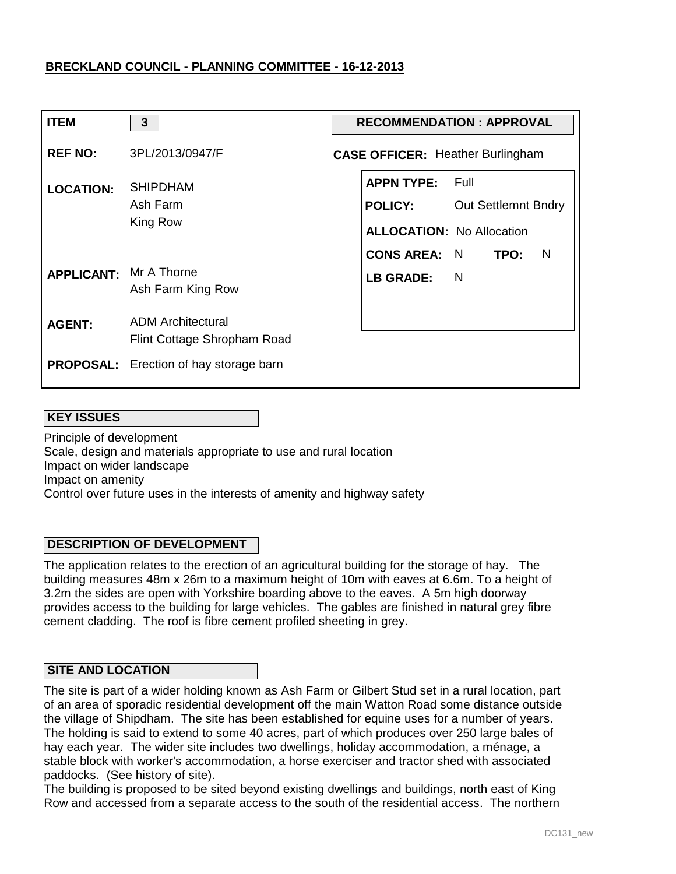| <b>ITEM</b>                   | 3                                                       | <b>RECOMMENDATION: APPROVAL</b>                                                             |                |      |   |
|-------------------------------|---------------------------------------------------------|---------------------------------------------------------------------------------------------|----------------|------|---|
| <b>REF NO:</b>                | 3PL/2013/0947/F                                         | <b>CASE OFFICER: Heather Burlingham</b>                                                     |                |      |   |
| <b>LOCATION:</b>              | <b>SHIPDHAM</b><br>Ash Farm<br>King Row                 | <b>APPN TYPE:</b><br><b>POLICY:</b> Out Settlemnt Bndry<br><b>ALLOCATION: No Allocation</b> | - Full         |      |   |
| <b>APPLICANT: Mr A Thorne</b> | Ash Farm King Row                                       | <b>CONS AREA: N</b><br><b>LB GRADE:</b>                                                     | $\overline{N}$ | TPO: | N |
| <b>AGENT:</b>                 | <b>ADM Architectural</b><br>Flint Cottage Shropham Road |                                                                                             |                |      |   |
|                               | <b>PROPOSAL:</b> Erection of hay storage barn           |                                                                                             |                |      |   |

### **KEY ISSUES**

Principle of development Scale, design and materials appropriate to use and rural location Impact on wider landscape Impact on amenity Control over future uses in the interests of amenity and highway safety

### **DESCRIPTION OF DEVELOPMENT**

The application relates to the erection of an agricultural building for the storage of hay. The building measures 48m x 26m to a maximum height of 10m with eaves at 6.6m. To a height of 3.2m the sides are open with Yorkshire boarding above to the eaves. A 5m high doorway provides access to the building for large vehicles. The gables are finished in natural grey fibre cement cladding. The roof is fibre cement profiled sheeting in grey.

#### **SITE AND LOCATION**

The site is part of a wider holding known as Ash Farm or Gilbert Stud set in a rural location, part of an area of sporadic residential development off the main Watton Road some distance outside the village of Shipdham. The site has been established for equine uses for a number of years. The holding is said to extend to some 40 acres, part of which produces over 250 large bales of hay each year. The wider site includes two dwellings, holiday accommodation, a ménage, a stable block with worker's accommodation, a horse exerciser and tractor shed with associated paddocks. (See history of site).

The building is proposed to be sited beyond existing dwellings and buildings, north east of King Row and accessed from a separate access to the south of the residential access. The northern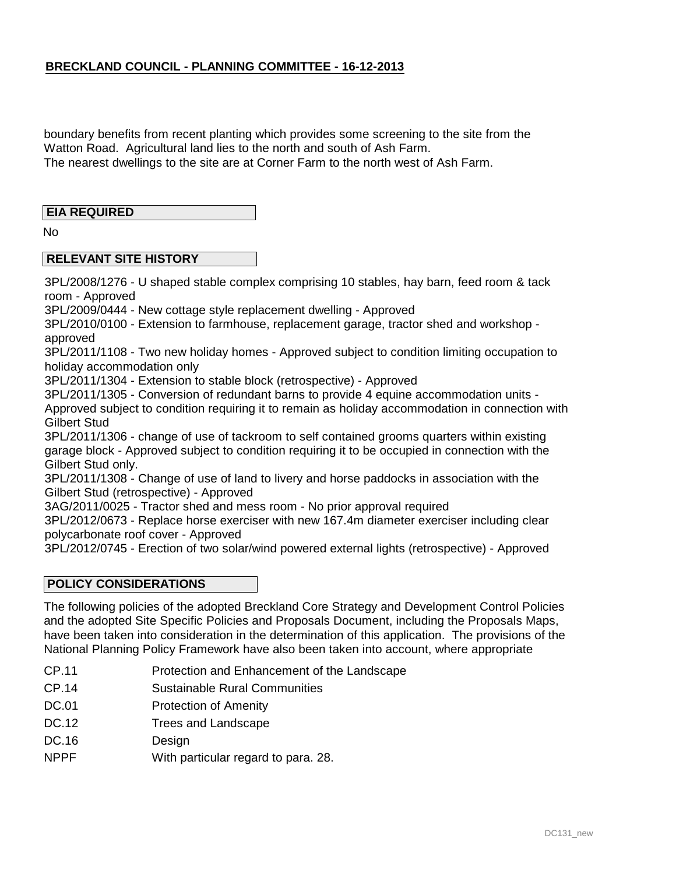boundary benefits from recent planting which provides some screening to the site from the Watton Road. Agricultural land lies to the north and south of Ash Farm. The nearest dwellings to the site are at Corner Farm to the north west of Ash Farm.

### **EIA REQUIRED**

No

### **RELEVANT SITE HISTORY**

3PL/2008/1276 - U shaped stable complex comprising 10 stables, hay barn, feed room & tack room - Approved

3PL/2009/0444 - New cottage style replacement dwelling - Approved

3PL/2010/0100 - Extension to farmhouse, replacement garage, tractor shed and workshop approved

3PL/2011/1108 - Two new holiday homes - Approved subject to condition limiting occupation to holiday accommodation only

3PL/2011/1304 - Extension to stable block (retrospective) - Approved

3PL/2011/1305 - Conversion of redundant barns to provide 4 equine accommodation units -

Approved subject to condition requiring it to remain as holiday accommodation in connection with Gilbert Stud

3PL/2011/1306 - change of use of tackroom to self contained grooms quarters within existing garage block - Approved subject to condition requiring it to be occupied in connection with the Gilbert Stud only.

3PL/2011/1308 - Change of use of land to livery and horse paddocks in association with the Gilbert Stud (retrospective) - Approved

3AG/2011/0025 - Tractor shed and mess room - No prior approval required

3PL/2012/0673 - Replace horse exerciser with new 167.4m diameter exerciser including clear polycarbonate roof cover - Approved

3PL/2012/0745 - Erection of two solar/wind powered external lights (retrospective) - Approved

### **POLICY CONSIDERATIONS**

The following policies of the adopted Breckland Core Strategy and Development Control Policies and the adopted Site Specific Policies and Proposals Document, including the Proposals Maps, have been taken into consideration in the determination of this application. The provisions of the National Planning Policy Framework have also been taken into account, where appropriate

- CP.11 Protection and Enhancement of the Landscape
- CP.14 Sustainable Rural Communities
- DC.01 Protection of Amenity
- DC.12 Trees and Landscape
- DC.16 Design
- NPPF With particular regard to para. 28.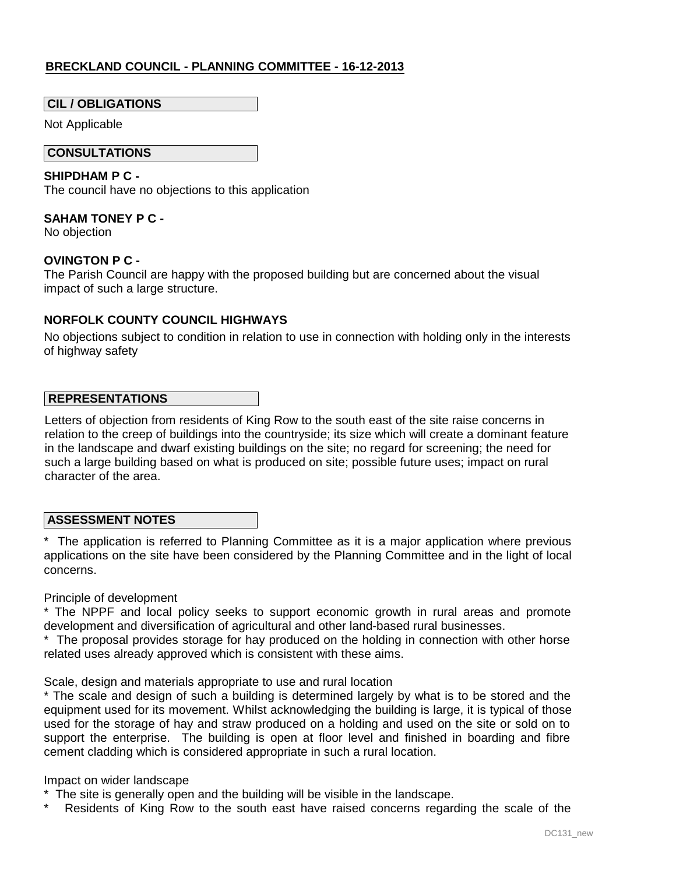### **CIL / OBLIGATIONS**

Not Applicable

### **CONSULTATIONS**

### **SHIPDHAM P C -**

The council have no objections to this application

### **SAHAM TONEY P C -**

No objection

### **OVINGTON P C -**

The Parish Council are happy with the proposed building but are concerned about the visual impact of such a large structure.

### **NORFOLK COUNTY COUNCIL HIGHWAYS**

No objections subject to condition in relation to use in connection with holding only in the interests of highway safety

### **REPRESENTATIONS**

Letters of objection from residents of King Row to the south east of the site raise concerns in relation to the creep of buildings into the countryside; its size which will create a dominant feature in the landscape and dwarf existing buildings on the site; no regard for screening; the need for such a large building based on what is produced on site; possible future uses; impact on rural character of the area.

### **ASSESSMENT NOTES**

\* The application is referred to Planning Committee as it is a major application where previous applications on the site have been considered by the Planning Committee and in the light of local concerns.

Principle of development

\* The NPPF and local policy seeks to support economic growth in rural areas and promote development and diversification of agricultural and other land-based rural businesses.

\* The proposal provides storage for hay produced on the holding in connection with other horse related uses already approved which is consistent with these aims.

Scale, design and materials appropriate to use and rural location

\* The scale and design of such a building is determined largely by what is to be stored and the equipment used for its movement. Whilst acknowledging the building is large, it is typical of those used for the storage of hay and straw produced on a holding and used on the site or sold on to support the enterprise. The building is open at floor level and finished in boarding and fibre cement cladding which is considered appropriate in such a rural location.

### Impact on wider landscape

- \* The site is generally open and the building will be visible in the landscape.
- Residents of King Row to the south east have raised concerns regarding the scale of the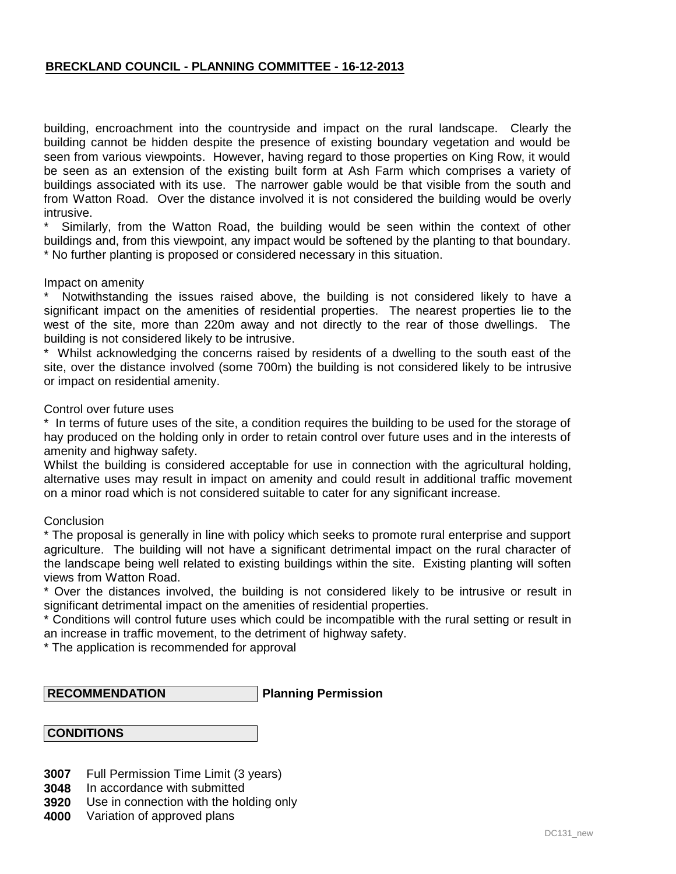building, encroachment into the countryside and impact on the rural landscape. Clearly the building cannot be hidden despite the presence of existing boundary vegetation and would be seen from various viewpoints. However, having regard to those properties on King Row, it would be seen as an extension of the existing built form at Ash Farm which comprises a variety of buildings associated with its use. The narrower gable would be that visible from the south and from Watton Road. Over the distance involved it is not considered the building would be overly intrusive.

Similarly, from the Watton Road, the building would be seen within the context of other buildings and, from this viewpoint, any impact would be softened by the planting to that boundary. \* No further planting is proposed or considered necessary in this situation.

#### Impact on amenity

Notwithstanding the issues raised above, the building is not considered likely to have a significant impact on the amenities of residential properties. The nearest properties lie to the west of the site, more than 220m away and not directly to the rear of those dwellings. The building is not considered likely to be intrusive.

\* Whilst acknowledging the concerns raised by residents of a dwelling to the south east of the site, over the distance involved (some 700m) the building is not considered likely to be intrusive or impact on residential amenity.

#### Control over future uses

\* In terms of future uses of the site, a condition requires the building to be used for the storage of hay produced on the holding only in order to retain control over future uses and in the interests of amenity and highway safety.

Whilst the building is considered acceptable for use in connection with the agricultural holding, alternative uses may result in impact on amenity and could result in additional traffic movement on a minor road which is not considered suitable to cater for any significant increase.

#### **Conclusion**

\* The proposal is generally in line with policy which seeks to promote rural enterprise and support agriculture. The building will not have a significant detrimental impact on the rural character of the landscape being well related to existing buildings within the site. Existing planting will soften views from Watton Road.

\* Over the distances involved, the building is not considered likely to be intrusive or result in significant detrimental impact on the amenities of residential properties.

\* Conditions will control future uses which could be incompatible with the rural setting or result in an increase in traffic movement, to the detriment of highway safety.

\* The application is recommended for approval

#### **RECOMMENDATION**

**Planning Permission**

# **CONDITIONS**

- **3007** Full Permission Time Limit (3 years)
- **3048** In accordance with submitted
- **3920** Use in connection with the holding only
- **4000** Variation of approved plans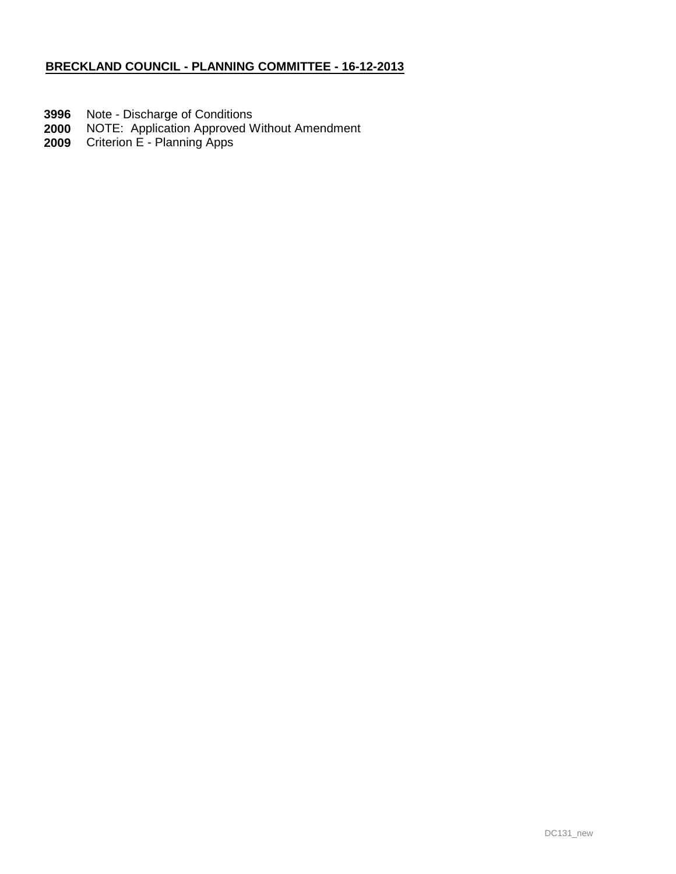- **3996** Note Discharge of Conditions
- **2000** NOTE: Application Approved Without Amendment
- **2009** Criterion E - Planning Apps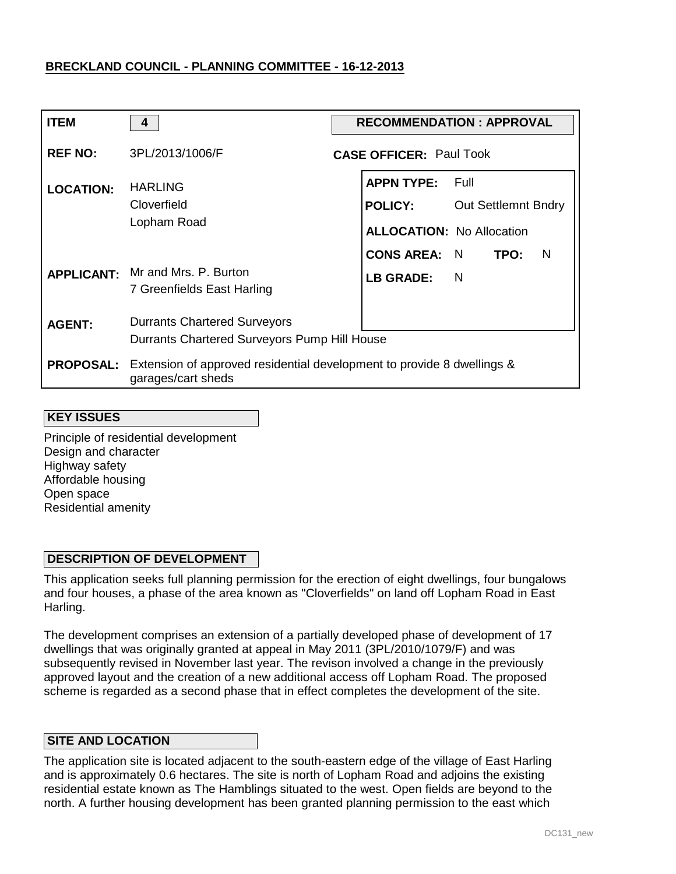| <b>ITEM</b>      | 4                                                                                            |  | <b>RECOMMENDATION : APPROVAL</b> |                |                            |   |
|------------------|----------------------------------------------------------------------------------------------|--|----------------------------------|----------------|----------------------------|---|
| <b>REF NO:</b>   | 3PL/2013/1006/F                                                                              |  | <b>CASE OFFICER: Paul Took</b>   |                |                            |   |
| <b>LOCATION:</b> | <b>HARLING</b>                                                                               |  | <b>APPN TYPE:</b>                | - Full         |                            |   |
|                  | Cloverfield                                                                                  |  | <b>POLICY:</b>                   |                | <b>Out Settlemnt Bndry</b> |   |
|                  | Lopham Road                                                                                  |  | <b>ALLOCATION: No Allocation</b> |                |                            |   |
|                  |                                                                                              |  | <b>CONS AREA: N</b>              |                | TPO:                       | N |
|                  | APPLICANT: Mr and Mrs. P. Burton<br>7 Greenfields East Harling                               |  | <b>LB GRADE:</b>                 | $\blacksquare$ |                            |   |
| <b>AGENT:</b>    | <b>Durrants Chartered Surveyors</b>                                                          |  |                                  |                |                            |   |
|                  | Durrants Chartered Surveyors Pump Hill House                                                 |  |                                  |                |                            |   |
| <b>PROPOSAL:</b> | Extension of approved residential development to provide 8 dwellings &<br>garages/cart sheds |  |                                  |                |                            |   |

#### **KEY ISSUES**

Principle of residential development Design and character Highway safety Affordable housing Open space Residential amenity

### **DESCRIPTION OF DEVELOPMENT**

This application seeks full planning permission for the erection of eight dwellings, four bungalows and four houses, a phase of the area known as "Cloverfields" on land off Lopham Road in East Harling.

The development comprises an extension of a partially developed phase of development of 17 dwellings that was originally granted at appeal in May 2011 (3PL/2010/1079/F) and was subsequently revised in November last year. The revison involved a change in the previously approved layout and the creation of a new additional access off Lopham Road. The proposed scheme is regarded as a second phase that in effect completes the development of the site.

#### **SITE AND LOCATION**

The application site is located adjacent to the south-eastern edge of the village of East Harling and is approximately 0.6 hectares. The site is north of Lopham Road and adjoins the existing residential estate known as The Hamblings situated to the west. Open fields are beyond to the north. A further housing development has been granted planning permission to the east which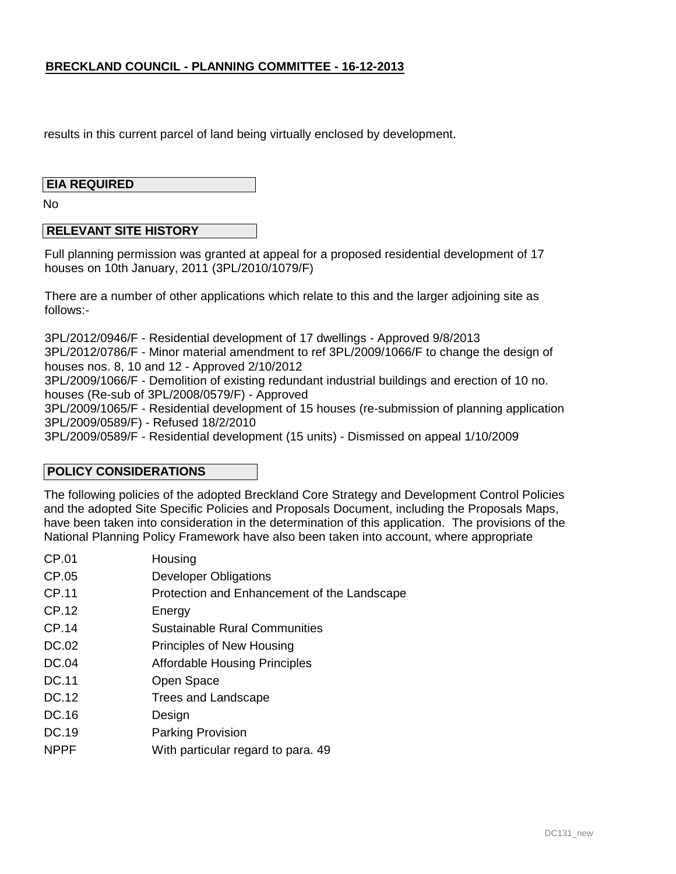results in this current parcel of land being virtually enclosed by development.

#### **EIA REQUIRED**

No

### **RELEVANT SITE HISTORY**

Full planning permission was granted at appeal for a proposed residential development of 17 houses on 10th January, 2011 (3PL/2010/1079/F)

There are a number of other applications which relate to this and the larger adjoining site as follows:-

3PL/2012/0946/F - Residential development of 17 dwellings - Approved 9/8/2013 3PL/2012/0786/F - Minor material amendment to ref 3PL/2009/1066/F to change the design of houses nos. 8, 10 and 12 - Approved 2/10/2012

3PL/2009/1066/F - Demolition of existing redundant industrial buildings and erection of 10 no. houses (Re-sub of 3PL/2008/0579/F) - Approved

3PL/2009/1065/F - Residential development of 15 houses (re-submission of planning application 3PL/2009/0589/F) - Refused 18/2/2010

3PL/2009/0589/F - Residential development (15 units) - Dismissed on appeal 1/10/2009

### **POLICY CONSIDERATIONS**

The following policies of the adopted Breckland Core Strategy and Development Control Policies and the adopted Site Specific Policies and Proposals Document, including the Proposals Maps, have been taken into consideration in the determination of this application. The provisions of the National Planning Policy Framework have also been taken into account, where appropriate

- CP.01 CP.05 CP.11 CP.12 **Housing** Developer Obligations Protection and Enhancement of the Landscape **Energy**
- CP.14 Sustainable Rural Communities
- DC.02 Principles of New Housing
- DC.04 Affordable Housing Principles
- DC.11 Open Space
- DC.12 Trees and Landscape
- DC.16 Design
- DC.19 Parking Provision
- NPPF With particular regard to para. 49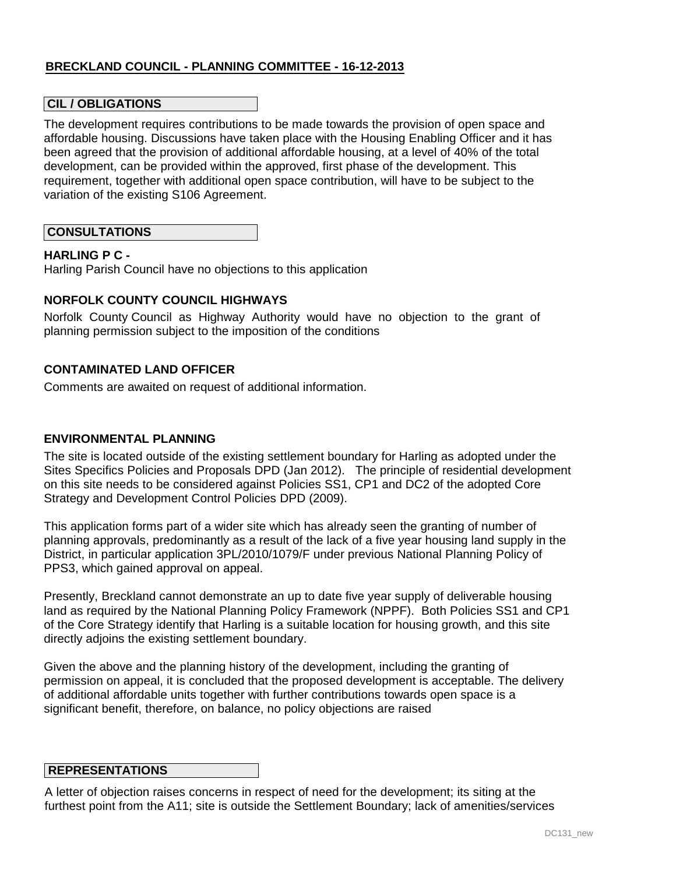### **CIL / OBLIGATIONS**

The development requires contributions to be made towards the provision of open space and affordable housing. Discussions have taken place with the Housing Enabling Officer and it has been agreed that the provision of additional affordable housing, at a level of 40% of the total development, can be provided within the approved, first phase of the development. This requirement, together with additional open space contribution, will have to be subject to the variation of the existing S106 Agreement.

### **CONSULTATIONS**

#### **HARLING P C -**

Harling Parish Council have no objections to this application

### **NORFOLK COUNTY COUNCIL HIGHWAYS**

Norfolk County Council as Highway Authority would have no objection to the grant of planning permission subject to the imposition of the conditions

### **CONTAMINATED LAND OFFICER**

Comments are awaited on request of additional information.

#### **ENVIRONMENTAL PLANNING**

The site is located outside of the existing settlement boundary for Harling as adopted under the Sites Specifics Policies and Proposals DPD (Jan 2012). The principle of residential development on this site needs to be considered against Policies SS1, CP1 and DC2 of the adopted Core Strategy and Development Control Policies DPD (2009).

This application forms part of a wider site which has already seen the granting of number of planning approvals, predominantly as a result of the lack of a five year housing land supply in the District, in particular application 3PL/2010/1079/F under previous National Planning Policy of PPS3, which gained approval on appeal.

Presently, Breckland cannot demonstrate an up to date five year supply of deliverable housing land as required by the National Planning Policy Framework (NPPF). Both Policies SS1 and CP1 of the Core Strategy identify that Harling is a suitable location for housing growth, and this site directly adjoins the existing settlement boundary.

Given the above and the planning history of the development, including the granting of permission on appeal, it is concluded that the proposed development is acceptable. The delivery of additional affordable units together with further contributions towards open space is a significant benefit, therefore, on balance, no policy objections are raised

### **REPRESENTATIONS**

A letter of objection raises concerns in respect of need for the development; its siting at the furthest point from the A11; site is outside the Settlement Boundary; lack of amenities/services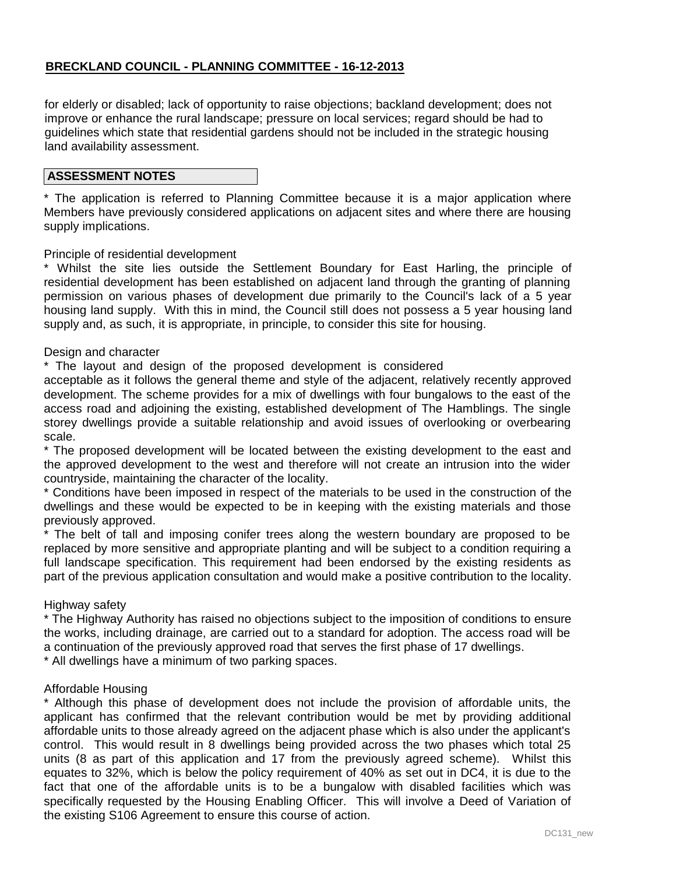for elderly or disabled; lack of opportunity to raise objections; backland development; does not improve or enhance the rural landscape; pressure on local services; regard should be had to guidelines which state that residential gardens should not be included in the strategic housing land availability assessment.

### **ASSESSMENT NOTES**

\* The application is referred to Planning Committee because it is a major application where Members have previously considered applications on adjacent sites and where there are housing supply implications.

### Principle of residential development

\* Whilst the site lies outside the Settlement Boundary for East Harling, the principle of residential development has been established on adjacent land through the granting of planning permission on various phases of development due primarily to the Council's lack of a 5 year housing land supply. With this in mind, the Council still does not possess a 5 year housing land supply and, as such, it is appropriate, in principle, to consider this site for housing.

#### Design and character

\* The layout and design of the proposed development is considered

acceptable as it follows the general theme and style of the adjacent, relatively recently approved development. The scheme provides for a mix of dwellings with four bungalows to the east of the access road and adjoining the existing, established development of The Hamblings. The single storey dwellings provide a suitable relationship and avoid issues of overlooking or overbearing scale.

\* The proposed development will be located between the existing development to the east and the approved development to the west and therefore will not create an intrusion into the wider countryside, maintaining the character of the locality.

\* Conditions have been imposed in respect of the materials to be used in the construction of the dwellings and these would be expected to be in keeping with the existing materials and those previously approved.

\* The belt of tall and imposing conifer trees along the western boundary are proposed to be replaced by more sensitive and appropriate planting and will be subject to a condition requiring a full landscape specification. This requirement had been endorsed by the existing residents as part of the previous application consultation and would make a positive contribution to the locality.

#### Highway safety

\* The Highway Authority has raised no objections subject to the imposition of conditions to ensure the works, including drainage, are carried out to a standard for adoption. The access road will be a continuation of the previously approved road that serves the first phase of 17 dwellings.

\* All dwellings have a minimum of two parking spaces.

#### Affordable Housing

\* Although this phase of development does not include the provision of affordable units, the applicant has confirmed that the relevant contribution would be met by providing additional affordable units to those already agreed on the adjacent phase which is also under the applicant's control. This would result in 8 dwellings being provided across the two phases which total 25 units (8 as part of this application and 17 from the previously agreed scheme). Whilst this equates to 32%, which is below the policy requirement of 40% as set out in DC4, it is due to the fact that one of the affordable units is to be a bungalow with disabled facilities which was specifically requested by the Housing Enabling Officer. This will involve a Deed of Variation of the existing S106 Agreement to ensure this course of action.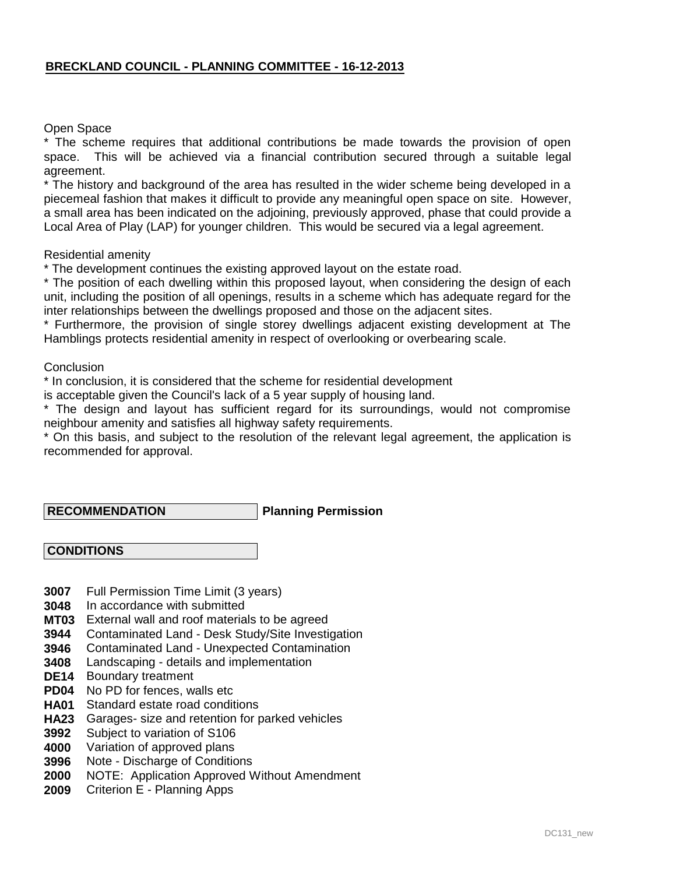### Open Space

\* The scheme requires that additional contributions be made towards the provision of open space. This will be achieved via a financial contribution secured through a suitable legal agreement.

\* The history and background of the area has resulted in the wider scheme being developed in a piecemeal fashion that makes it difficult to provide any meaningful open space on site. However, a small area has been indicated on the adjoining, previously approved, phase that could provide a Local Area of Play (LAP) for younger children. This would be secured via a legal agreement.

#### Residential amenity

\* The development continues the existing approved layout on the estate road.

\* The position of each dwelling within this proposed layout, when considering the design of each unit, including the position of all openings, results in a scheme which has adequate regard for the inter relationships between the dwellings proposed and those on the adjacent sites.

\* Furthermore, the provision of single storey dwellings adjacent existing development at The Hamblings protects residential amenity in respect of overlooking or overbearing scale.

**Conclusion** 

\* In conclusion, it is considered that the scheme for residential development

is acceptable given the Council's lack of a 5 year supply of housing land.

\* The design and layout has sufficient regard for its surroundings, would not compromise neighbour amenity and satisfies all highway safety requirements.

\* On this basis, and subject to the resolution of the relevant legal agreement, the application is recommended for approval.

### **RECOMMENDATION**

### **Planning Permission**

### **CONDITIONS**

- **3007** Full Permission Time Limit (3 years)
- **3048** In accordance with submitted
- **MT03** External wall and roof materials to be agreed
- **3944** Contaminated Land - Desk Study/Site Investigation
- **3946** Contaminated Land - Unexpected Contamination
- **3408** Landscaping - details and implementation
- **DE14** Boundary treatment
- **PD04** No PD for fences, walls etc
- **HA01** Standard estate road conditions
- **HA23** Garages- size and retention for parked vehicles
- **3992** Subject to variation of S106
- **4000** Variation of approved plans
- **3996** Note - Discharge of Conditions
- **2000** NOTE: Application Approved Without Amendment
- **2009** Criterion E - Planning Apps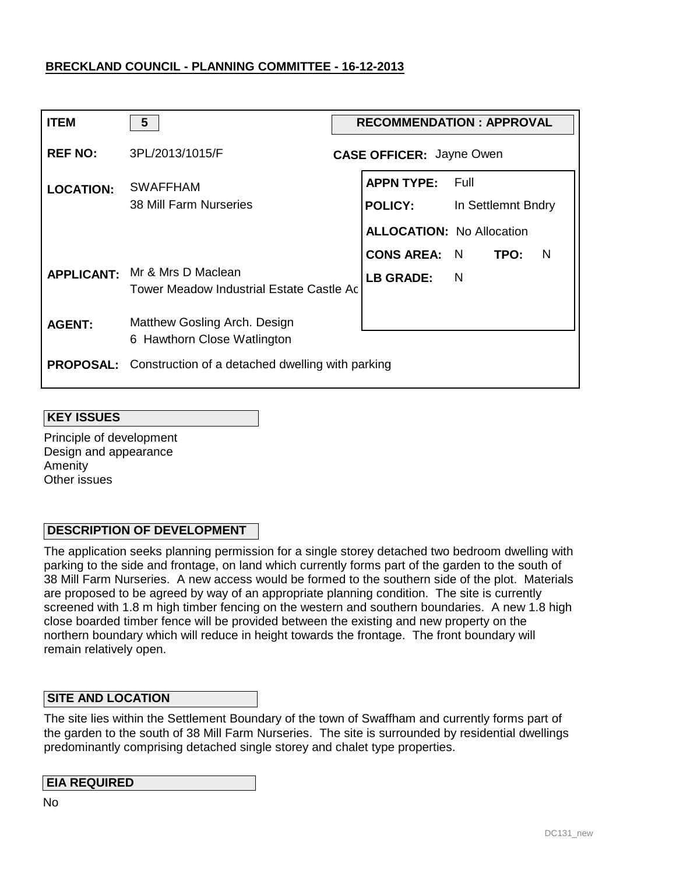| <b>ITEM</b>      | 5                                                                         | <b>RECOMMENDATION: APPROVAL</b> |                                     |                              |  |  |
|------------------|---------------------------------------------------------------------------|---------------------------------|-------------------------------------|------------------------------|--|--|
| <b>REF NO:</b>   | 3PL/2013/1015/F                                                           |                                 | <b>CASE OFFICER: Jayne Owen</b>     |                              |  |  |
| <b>LOCATION:</b> | <b>SWAFFHAM</b><br>38 Mill Farm Nurseries                                 |                                 | <b>APPN TYPE:</b><br><b>POLICY:</b> | – Full<br>In Settlemnt Bndry |  |  |
|                  |                                                                           |                                 | <b>ALLOCATION: No Allocation</b>    |                              |  |  |
|                  |                                                                           |                                 | <b>CONS AREA: N</b>                 | TPO:<br>- N                  |  |  |
|                  | APPLICANT: Mr & Mrs D Maclean<br>Tower Meadow Industrial Estate Castle Ac |                                 | LB GRADE: N                         |                              |  |  |
| <b>AGENT:</b>    | Matthew Gosling Arch. Design<br>6 Hawthorn Close Watlington               |                                 |                                     |                              |  |  |
|                  | <b>PROPOSAL:</b> Construction of a detached dwelling with parking         |                                 |                                     |                              |  |  |

### **KEY ISSUES**

Principle of development Design and appearance **Amenity** Other issues

### **DESCRIPTION OF DEVELOPMENT**

The application seeks planning permission for a single storey detached two bedroom dwelling with parking to the side and frontage, on land which currently forms part of the garden to the south of 38 Mill Farm Nurseries. A new access would be formed to the southern side of the plot. Materials are proposed to be agreed by way of an appropriate planning condition. The site is currently screened with 1.8 m high timber fencing on the western and southern boundaries. A new 1.8 high close boarded timber fence will be provided between the existing and new property on the northern boundary which will reduce in height towards the frontage. The front boundary will remain relatively open.

### **SITE AND LOCATION**

The site lies within the Settlement Boundary of the town of Swaffham and currently forms part of the garden to the south of 38 Mill Farm Nurseries. The site is surrounded by residential dwellings predominantly comprising detached single storey and chalet type properties.

### **EIA REQUIRED**

No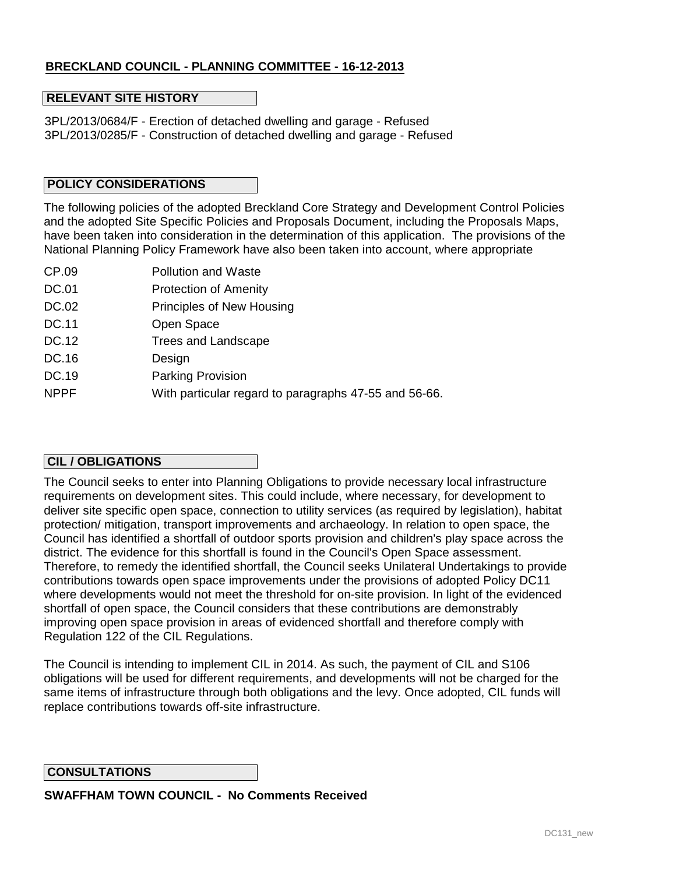### **RELEVANT SITE HISTORY**

3PL/2013/0684/F - Erection of detached dwelling and garage - Refused 3PL/2013/0285/F - Construction of detached dwelling and garage - Refused

### **POLICY CONSIDERATIONS**

The following policies of the adopted Breckland Core Strategy and Development Control Policies and the adopted Site Specific Policies and Proposals Document, including the Proposals Maps, have been taken into consideration in the determination of this application. The provisions of the National Planning Policy Framework have also been taken into account, where appropriate

- CP.09 Pollution and Waste
- DC.01 Protection of Amenity
- DC.02 Principles of New Housing
- DC.11 Open Space
- DC.12 Trees and Landscape
- DC.16 Design
- DC.19 Parking Provision
- NPPF With particular regard to paragraphs 47-55 and 56-66.

### **CIL / OBLIGATIONS**

The Council seeks to enter into Planning Obligations to provide necessary local infrastructure requirements on development sites. This could include, where necessary, for development to deliver site specific open space, connection to utility services (as required by legislation), habitat protection/ mitigation, transport improvements and archaeology. In relation to open space, the Council has identified a shortfall of outdoor sports provision and children's play space across the district. The evidence for this shortfall is found in the Council's Open Space assessment. Therefore, to remedy the identified shortfall, the Council seeks Unilateral Undertakings to provide contributions towards open space improvements under the provisions of adopted Policy DC11 where developments would not meet the threshold for on-site provision. In light of the evidenced shortfall of open space, the Council considers that these contributions are demonstrably improving open space provision in areas of evidenced shortfall and therefore comply with Regulation 122 of the CIL Regulations.

The Council is intending to implement CIL in 2014. As such, the payment of CIL and S106 obligations will be used for different requirements, and developments will not be charged for the same items of infrastructure through both obligations and the levy. Once adopted, CIL funds will replace contributions towards off-site infrastructure.

#### **CONSULTATIONS**

**SWAFFHAM TOWN COUNCIL - No Comments Received**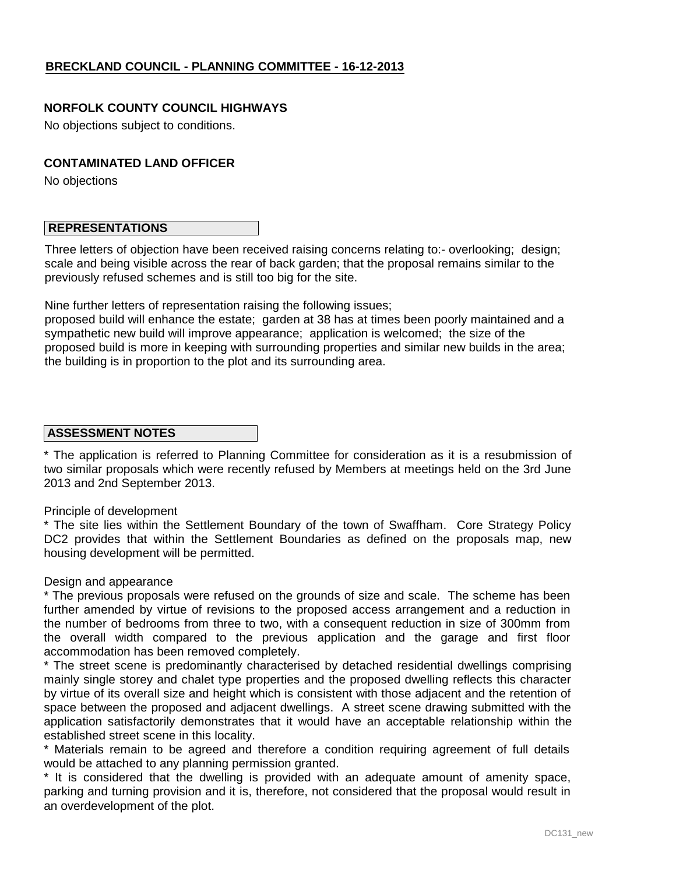### **NORFOLK COUNTY COUNCIL HIGHWAYS**

No objections subject to conditions.

### **CONTAMINATED LAND OFFICER**

No objections

### **REPRESENTATIONS**

Three letters of objection have been received raising concerns relating to:- overlooking; design; scale and being visible across the rear of back garden; that the proposal remains similar to the previously refused schemes and is still too big for the site.

Nine further letters of representation raising the following issues;

proposed build will enhance the estate; garden at 38 has at times been poorly maintained and a sympathetic new build will improve appearance; application is welcomed; the size of the proposed build is more in keeping with surrounding properties and similar new builds in the area; the building is in proportion to the plot and its surrounding area.

### **ASSESSMENT NOTES**

\* The application is referred to Planning Committee for consideration as it is a resubmission of two similar proposals which were recently refused by Members at meetings held on the 3rd June 2013 and 2nd September 2013.

#### Principle of development

\* The site lies within the Settlement Boundary of the town of Swaffham. Core Strategy Policy DC2 provides that within the Settlement Boundaries as defined on the proposals map, new housing development will be permitted.

#### Design and appearance

\* The previous proposals were refused on the grounds of size and scale. The scheme has been further amended by virtue of revisions to the proposed access arrangement and a reduction in the number of bedrooms from three to two, with a consequent reduction in size of 300mm from the overall width compared to the previous application and the garage and first floor accommodation has been removed completely.

\* The street scene is predominantly characterised by detached residential dwellings comprising mainly single storey and chalet type properties and the proposed dwelling reflects this character by virtue of its overall size and height which is consistent with those adjacent and the retention of space between the proposed and adjacent dwellings. A street scene drawing submitted with the application satisfactorily demonstrates that it would have an acceptable relationship within the established street scene in this locality.

\* Materials remain to be agreed and therefore a condition requiring agreement of full details would be attached to any planning permission granted.

\* It is considered that the dwelling is provided with an adequate amount of amenity space, parking and turning provision and it is, therefore, not considered that the proposal would result in an overdevelopment of the plot.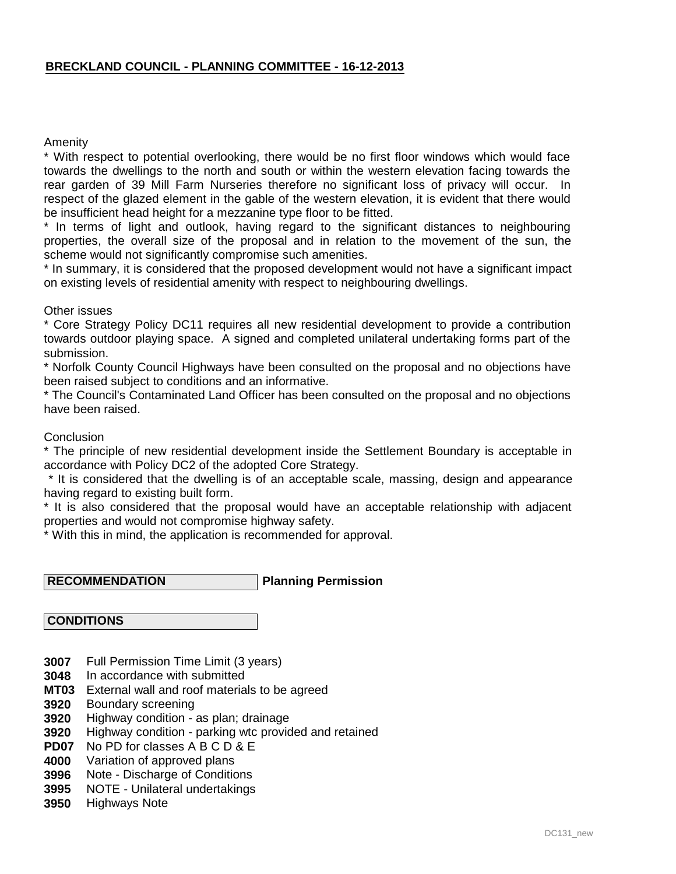### Amenity

\* With respect to potential overlooking, there would be no first floor windows which would face towards the dwellings to the north and south or within the western elevation facing towards the rear garden of 39 Mill Farm Nurseries therefore no significant loss of privacy will occur. In respect of the glazed element in the gable of the western elevation, it is evident that there would be insufficient head height for a mezzanine type floor to be fitted.

\* In terms of light and outlook, having regard to the significant distances to neighbouring properties, the overall size of the proposal and in relation to the movement of the sun, the scheme would not significantly compromise such amenities.

\* In summary, it is considered that the proposed development would not have a significant impact on existing levels of residential amenity with respect to neighbouring dwellings.

Other issues

\* Core Strategy Policy DC11 requires all new residential development to provide a contribution towards outdoor playing space. A signed and completed unilateral undertaking forms part of the submission.

\* Norfolk County Council Highways have been consulted on the proposal and no objections have been raised subject to conditions and an informative.

\* The Council's Contaminated Land Officer has been consulted on the proposal and no objections have been raised.

**Conclusion** 

\* The principle of new residential development inside the Settlement Boundary is acceptable in accordance with Policy DC2 of the adopted Core Strategy.

 \* It is considered that the dwelling is of an acceptable scale, massing, design and appearance having regard to existing built form.

\* It is also considered that the proposal would have an acceptable relationship with adjacent properties and would not compromise highway safety.

\* With this in mind, the application is recommended for approval.

**Planning Permission RECOMMENDATION**

 **CONDITIONS**

- **3007** Full Permission Time Limit (3 years)
- **3048** In accordance with submitted
- **MT03** External wall and roof materials to be agreed
- **3920** Boundary screening
- **3920** Highway condition - as plan; drainage
- **3920** Highway condition - parking wtc provided and retained
- **PD07** No PD for classes A B C D & E
- **4000** Variation of approved plans
- **3996** Note - Discharge of Conditions
- **3995** NOTE - Unilateral undertakings
- **3950** Highways Note